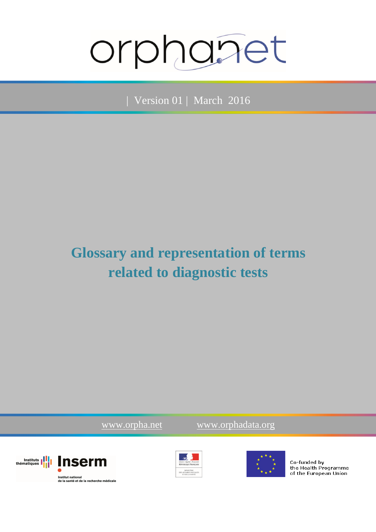# orphanet

| Version 01 | March 2016

## **Glossary and representation of terms related to diagnostic tests**

www.orpha.net www.orphadata.org







Co-funded by the Health Programme of the European Union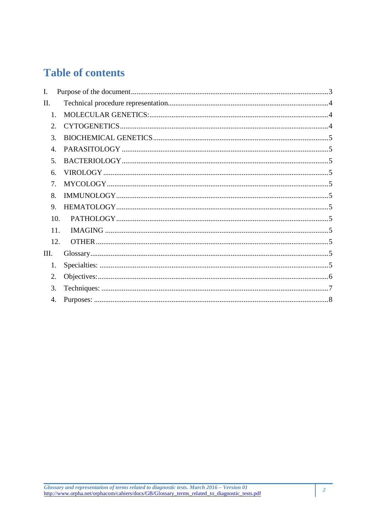## **Table of contents**

| L                |  |
|------------------|--|
| $\Pi$ .          |  |
| 1.               |  |
| $2^{\circ}$      |  |
| 3.               |  |
| $\overline{4}$ . |  |
| .5.              |  |
| 6.               |  |
| 7.               |  |
| 8.               |  |
| 9.               |  |
| 10.              |  |
| 11.              |  |
| 12.              |  |
| III.             |  |
| 1.               |  |
| 2.               |  |
| 3.               |  |
| 4.               |  |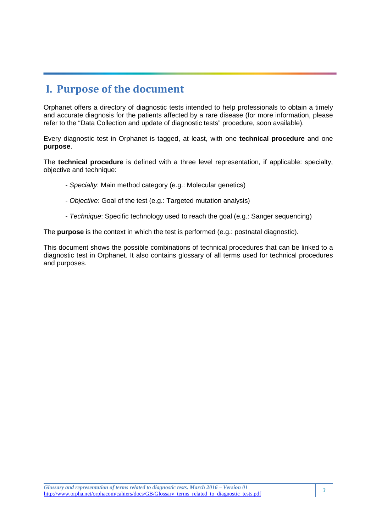## **I. Purpose of the document**

Orphanet offers a directory of diagnostic tests intended to help professionals to obtain a timely and accurate diagnosis for the patients affected by a rare disease (for more information, please refer to the "Data Collection and update of diagnostic tests" procedure, soon available).

Every diagnostic test in Orphanet is tagged, at least, with one **technical procedure** and one **purpose**.

The **technical procedure** is defined with a three level representation, if applicable: specialty, objective and technique:

- Specialty: Main method category (e.g.: Molecular genetics)
- Objective: Goal of the test (e.g.: Targeted mutation analysis)
- Technique: Specific technology used to reach the goal (e.g.: Sanger sequencing)

The **purpose** is the context in which the test is performed (e.g.: postnatal diagnostic).

This document shows the possible combinations of technical procedures that can be linked to a diagnostic test in Orphanet. It also contains glossary of all terms used for technical procedures and purposes.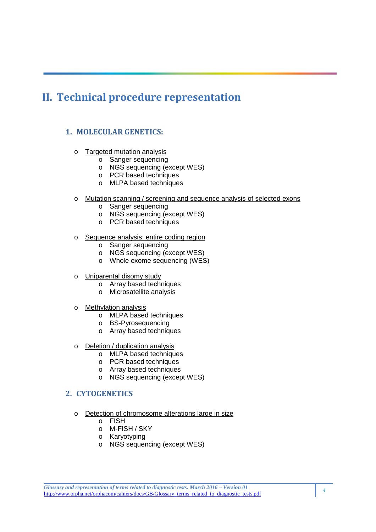## **II. Technical procedure representation**

#### **1. MOLECULAR GENETICS:**

- o Targeted mutation analysis
	- o Sanger sequencing
	- o NGS sequencing (except WES)
	- o PCR based techniques
	- o MLPA based techniques
- o Mutation scanning / screening and sequence analysis of selected exons
	- o Sanger sequencing
	- o NGS sequencing (except WES)
	- o PCR based techniques
- o Sequence analysis: entire coding region
	- o Sanger sequencing
	- o NGS sequencing (except WES)
	- o Whole exome sequencing (WES)
- o Uniparental disomy study
	- o Array based techniques
	- o Microsatellite analysis
- o Methylation analysis
	- o MLPA based techniques
	- o BS-Pyrosequencing
	- o Array based techniques
- o Deletion / duplication analysis
	- o MLPA based techniques
	- o PCR based techniques
	- o Array based techniques
	- o NGS sequencing (except WES)

#### **2. CYTOGENETICS**

- o Detection of chromosome alterations large in size
	- o FISH
	- o M-FISH / SKY
	- o Karyotyping
	- o NGS sequencing (except WES)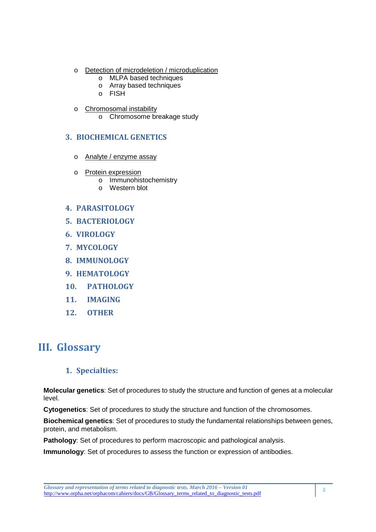- o Detection of microdeletion / microduplication
	- o MLPA based techniques
	- o Array based techniques
	- o FISH
- o Chromosomal instability
	- o Chromosome breakage study

#### **3. BIOCHEMICAL GENETICS**

- o Analyte / enzyme assay
- o Protein expression
	- o Immunohistochemistry
	- o Western blot

#### **4. PARASITOLOGY**

- **5. BACTERIOLOGY**
- **6. VIROLOGY**
- **7. MYCOLOGY**
- **8. IMMUNOLOGY**
- **9. HEMATOLOGY**
- **10. PATHOLOGY**
- **11. IMAGING**
- **12. OTHER**

### **III. Glossary**

#### **1. Specialties:**

**Molecular genetics**: Set of procedures to study the structure and function of genes at a molecular level.

**Cytogenetics**: Set of procedures to study the structure and function of the chromosomes.

**Biochemical genetics**: Set of procedures to study the fundamental relationships between genes, protein, and metabolism.

**Pathology**: Set of procedures to perform macroscopic and pathological analysis.

**Immunology**: Set of procedures to assess the function or expression of antibodies.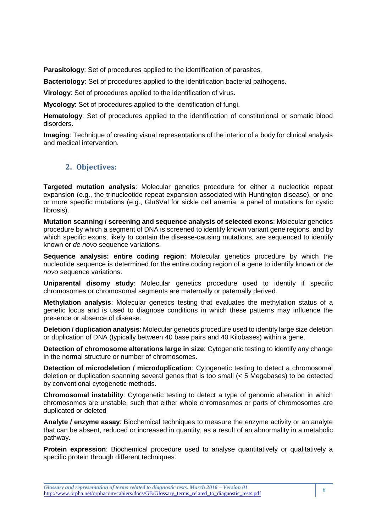**Parasitology**: Set of procedures applied to the identification of parasites.

**Bacteriology**: Set of procedures applied to the identification bacterial pathogens.

**Virology**: Set of procedures applied to the identification of virus.

**Mycology**: Set of procedures applied to the identification of fungi.

**Hematology**: Set of procedures applied to the identification of constitutional or somatic blood disorders.

**Imaging**: Technique of creating visual representations of the interior of a body for clinical analysis and medical intervention.

#### **2. Objectives:**

**Targeted mutation analysis**: Molecular genetics procedure for either a nucleotide repeat expansion (e.g., the trinucleotide repeat expansion associated with Huntington disease), or one or more specific mutations (e.g., Glu6Val for sickle cell anemia, a panel of mutations for cystic fibrosis).

**Mutation scanning / screening and sequence analysis of selected exons**: Molecular genetics procedure by which a segment of DNA is screened to identify known variant gene regions, and by which specific exons, likely to contain the disease-causing mutations, are sequenced to identify known or de novo sequence variations.

**Sequence analysis: entire coding region**: Molecular genetics procedure by which the nucleotide sequence is determined for the entire coding region of a gene to identify known or de novo sequence variations.

**Uniparental disomy study**: Molecular genetics procedure used to identify if specific chromosomes or chromosomal segments are maternally or paternally derived.

**Methylation analysis**: Molecular genetics testing that evaluates the methylation status of a genetic locus and is used to diagnose conditions in which these patterns may influence the presence or absence of disease.

**Deletion / duplication analysis**: Molecular genetics procedure used to identify large size deletion or duplication of DNA (typically between 40 base pairs and 40 Kilobases) within a gene.

**Detection of chromosome alterations large in size**: Cytogenetic testing to identify any change in the normal structure or number of chromosomes.

**Detection of microdeletion / microduplication**: Cytogenetic testing to detect a chromosomal deletion or duplication spanning several genes that is too small (< 5 Megabases) to be detected by conventional cytogenetic methods.

**Chromosomal instability**: Cytogenetic testing to detect a type of genomic alteration in which chromosomes are unstable, such that either whole chromosomes or parts of chromosomes are duplicated or deleted

**Analyte / enzyme assay**: Biochemical techniques to measure the enzyme activity or an analyte that can be absent, reduced or increased in quantity, as a result of an abnormality in a metabolic pathway.

**Protein expression**: Biochemical procedure used to analyse quantitatively or qualitatively a specific protein through different techniques.

*Glossary and representation of terms related to diagnostic tests. March 2016 – Version 01*  Giossary and representation of terms related to diagnostic tests. March 2016 – Version 01<br>http://www.orpha.net/orphacom/cahiers/docs/GB/Glossary\_terms\_related\_to\_diagnostic\_tests.pdf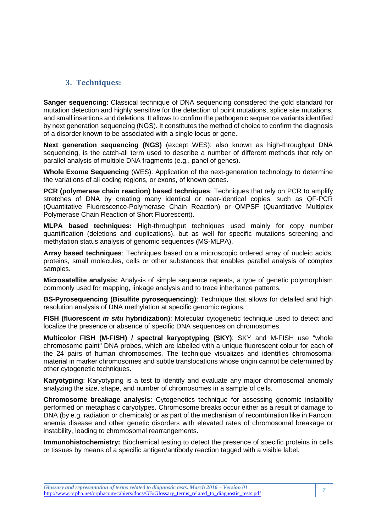#### **3. Techniques:**

**Sanger sequencing**: Classical technique of DNA sequencing considered the gold standard for mutation detection and highly sensitive for the detection of point mutations, splice site mutations, and small insertions and deletions. It allows to confirm the pathogenic sequence variants identified by next generation sequencing (NGS). It constitutes the method of choice to confirm the diagnosis of a disorder known to be associated with a single locus or gene.

**Next generation sequencing (NGS)** (except WES): also known as high-throughput DNA sequencing, is the catch-all term used to describe a number of different methods that rely on parallel analysis of multiple DNA fragments (e.g., panel of genes).

**Whole Exome Sequencing** (WES): Application of the next-generation technology to determine the variations of all coding regions, or exons, of known genes.

**PCR (polymerase chain reaction) based techniques**: Techniques that rely on PCR to amplify stretches of DNA by creating many identical or near-identical copies, such as QF-PCR (Quantitative Fluorescence-Polymerase Chain Reaction) or QMPSF (Quantitative Multiplex Polymerase Chain Reaction of Short Fluorescent).

**MLPA based techniques:** High-throughput techniques used mainly for copy number quantification (deletions and duplications), but as well for specific mutations screening and methylation status analysis of genomic sequences (MS-MLPA).

**Array based techniques**: Techniques based on a microscopic ordered array of nucleic acids, proteins, small molecules, cells or other substances that enables parallel analysis of complex samples.

**Microsatellite analysis:** Analysis of simple sequence repeats, a type of genetic polymorphism commonly used for mapping, linkage analysis and to trace inheritance patterns.

**BS-Pyrosequencing (Bisulfite pyrosequencing)**: Technique that allows for detailed and high resolution analysis of DNA methylation at specific genomic regions.

**FISH (fluorescent in situ hybridization)**: Molecular cytogenetic technique used to detect and localize the presence or absence of specific DNA sequences on chromosomes.

**Multicolor FISH (M-FISH) / spectral karyoptyping (SKY)**: SKY and M-FISH use "whole chromosome paint" DNA probes, which are labelled with a unique fluorescent colour for each of the 24 pairs of human chromosomes. The technique visualizes and identifies chromosomal material in marker chromosomes and subtle translocations whose origin cannot be determined by other cytogenetic techniques.

**Karyotyping**: Karyotyping is a test to identify and evaluate any major chromosomal anomaly analyzing the size, shape, and number of chromosomes in a sample of cells.

**Chromosome breakage analysis**: Cytogenetics technique for assessing genomic instability performed on metaphasic caryotypes. Chromosome breaks occur either as a result of damage to DNA (by e.g. radiation or chemicals) or as part of the mechanism of recombination like in Fanconi anemia disease and other genetic disorders with elevated rates of chromosomal breakage or instability, leading to chromosomal rearrangements.

**Immunohistochemistry:** Biochemical testing to detect the presence of specific proteins in cells or tissues by means of a specific antigen/antibody reaction tagged with a visible label.

*Glossary and representation of terms related to diagnostic tests. March 2016 – Version 01*  Glossary and representation of terms related to diagnostic tests. March 2016 – Version 01<br>http://www.orpha.net/orphacom/cahiers/docs/GB/Glossary\_terms\_related\_to\_diagnostic\_tests.pdf